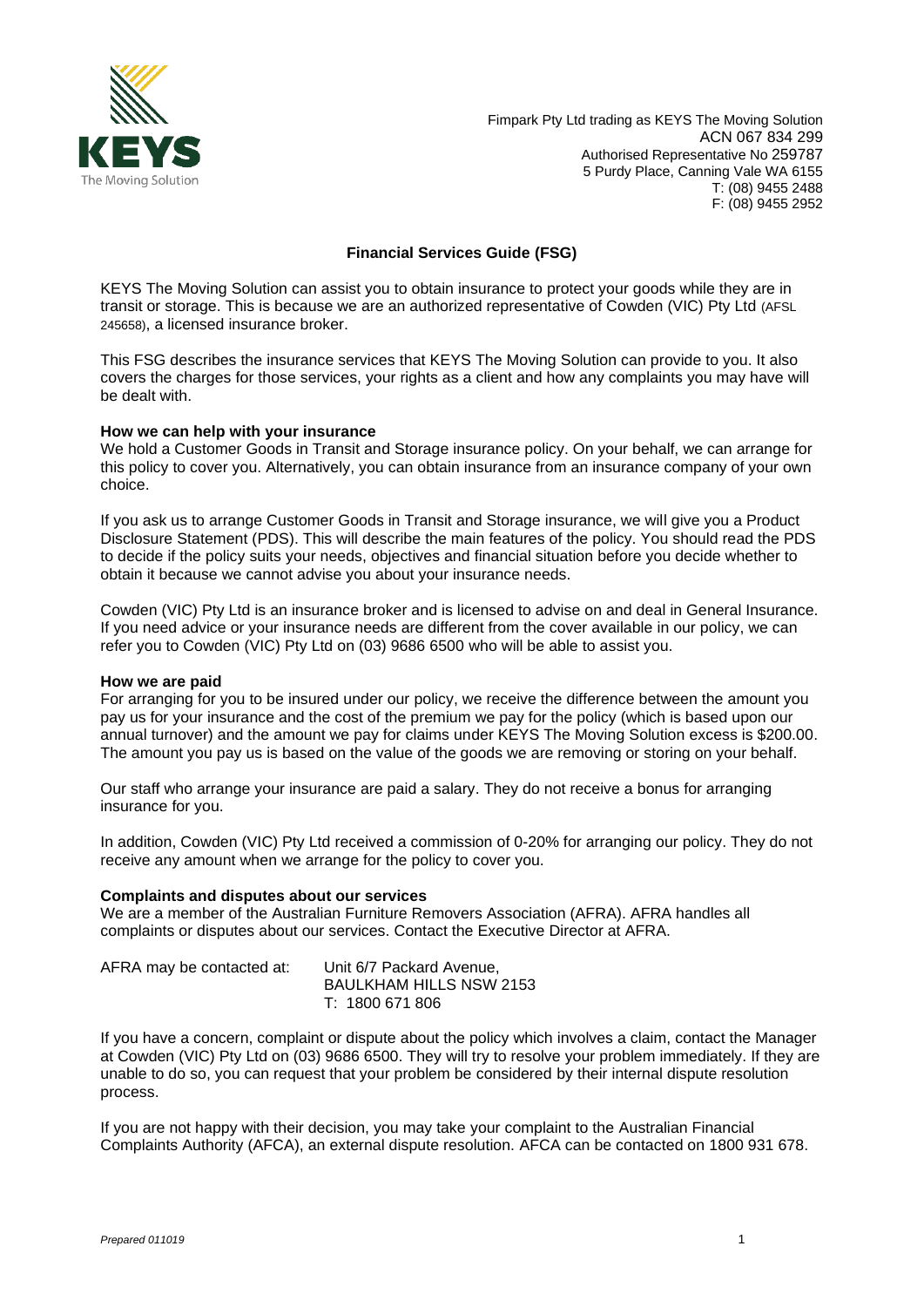

Fimpark Pty Ltd trading as KEYS The Moving Solution ACN 067 834 299 Authorised Representative No 259787 5 Purdy Place, Canning Vale WA 6155 T: (08) 9455 2488 F: (08) 9455 2952

# **Financial Services Guide (FSG)**

KEYS The Moving Solution can assist you to obtain insurance to protect your goods while they are in transit or storage. This is because we are an authorized representative of Cowden (VIC) Pty Ltd (AFSL 245658), a licensed insurance broker.

This FSG describes the insurance services that KEYS The Moving Solution can provide to you. It also covers the charges for those services, your rights as a client and how any complaints you may have will be dealt with.

#### **How we can help with your insurance**

We hold a Customer Goods in Transit and Storage insurance policy. On your behalf, we can arrange for this policy to cover you. Alternatively, you can obtain insurance from an insurance company of your own choice.

If you ask us to arrange Customer Goods in Transit and Storage insurance, we will give you a Product Disclosure Statement (PDS). This will describe the main features of the policy. You should read the PDS to decide if the policy suits your needs, objectives and financial situation before you decide whether to obtain it because we cannot advise you about your insurance needs.

Cowden (VIC) Pty Ltd is an insurance broker and is licensed to advise on and deal in General Insurance. If you need advice or your insurance needs are different from the cover available in our policy, we can refer you to Cowden (VIC) Pty Ltd on (03) 9686 6500 who will be able to assist you.

# **How we are paid**

For arranging for you to be insured under our policy, we receive the difference between the amount you pay us for your insurance and the cost of the premium we pay for the policy (which is based upon our annual turnover) and the amount we pay for claims under KEYS The Moving Solution excess is \$200.00. The amount you pay us is based on the value of the goods we are removing or storing on your behalf.

Our staff who arrange your insurance are paid a salary. They do not receive a bonus for arranging insurance for you.

In addition, Cowden (VIC) Pty Ltd received a commission of 0-20% for arranging our policy. They do not receive any amount when we arrange for the policy to cover you.

# **Complaints and disputes about our services**

We are a member of the Australian Furniture Removers Association (AFRA). AFRA handles all complaints or disputes about our services. Contact the Executive Director at AFRA.

| AFRA may be contacted at: | Unit 6/7 Packard Avenue, |
|---------------------------|--------------------------|
|                           | BAULKHAM HILLS NSW 2153  |
|                           | T: 1800 671 806          |

If you have a concern, complaint or dispute about the policy which involves a claim, contact the Manager at Cowden (VIC) Pty Ltd on (03) 9686 6500. They will try to resolve your problem immediately. If they are unable to do so, you can request that your problem be considered by their internal dispute resolution process.

If you are not happy with their decision, you may take your complaint to the Australian Financial Complaints Authority (AFCA), an external dispute resolution. AFCA can be contacted on 1800 931 678.